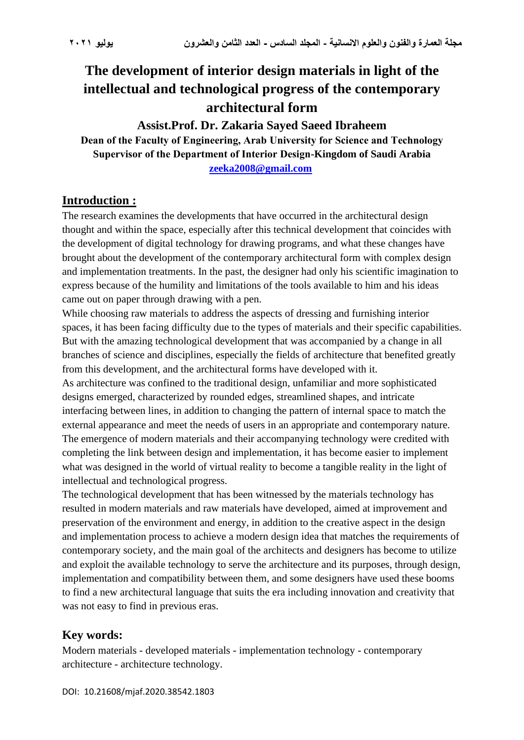# **The development of interior design materials in light of the intellectual and technological progress of the contemporary architectural form**

## **Assist.Prof. Dr. Zakaria Sayed Saeed Ibraheem**

**Dean of the Faculty of Engineering, Arab University for Science and Technology Supervisor of the Department of Interior Design-Kingdom of Saudi Arabia [zeeka2008@gmail.com](mailto:zeeka2008@gmail.com)** 

### **Introduction :**

The research examines the developments that have occurred in the architectural design thought and within the space, especially after this technical development that coincides with the development of digital technology for drawing programs, and what these changes have brought about the development of the contemporary architectural form with complex design and implementation treatments. In the past, the designer had only his scientific imagination to express because of the humility and limitations of the tools available to him and his ideas came out on paper through drawing with a pen.

While choosing raw materials to address the aspects of dressing and furnishing interior spaces, it has been facing difficulty due to the types of materials and their specific capabilities. But with the amazing technological development that was accompanied by a change in all branches of science and disciplines, especially the fields of architecture that benefited greatly from this development, and the architectural forms have developed with it.

As architecture was confined to the traditional design, unfamiliar and more sophisticated designs emerged, characterized by rounded edges, streamlined shapes, and intricate interfacing between lines, in addition to changing the pattern of internal space to match the external appearance and meet the needs of users in an appropriate and contemporary nature. The emergence of modern materials and their accompanying technology were credited with completing the link between design and implementation, it has become easier to implement what was designed in the world of virtual reality to become a tangible reality in the light of intellectual and technological progress.

The technological development that has been witnessed by the materials technology has resulted in modern materials and raw materials have developed, aimed at improvement and preservation of the environment and energy, in addition to the creative aspect in the design and implementation process to achieve a modern design idea that matches the requirements of contemporary society, and the main goal of the architects and designers has become to utilize and exploit the available technology to serve the architecture and its purposes, through design, implementation and compatibility between them, and some designers have used these booms to find a new architectural language that suits the era including innovation and creativity that was not easy to find in previous eras.

# **Key words:**

Modern materials - developed materials - implementation technology - contemporary architecture - architecture technology.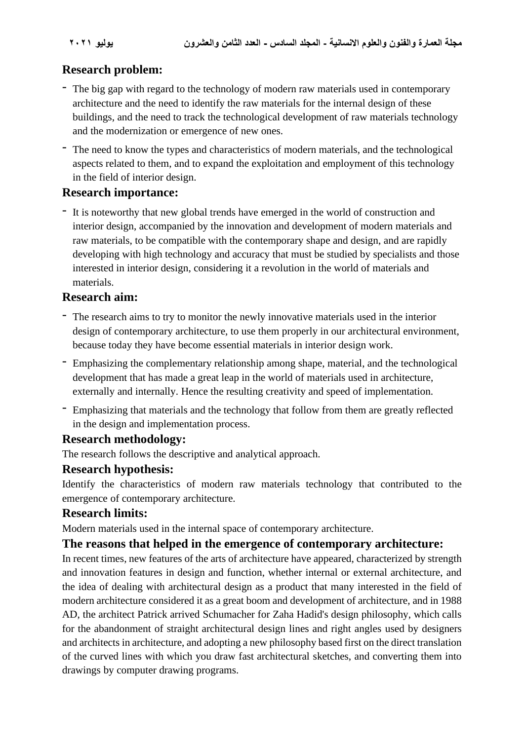# **Research problem:**

- The big gap with regard to the technology of modern raw materials used in contemporary architecture and the need to identify the raw materials for the internal design of these buildings, and the need to track the technological development of raw materials technology and the modernization or emergence of new ones.
- The need to know the types and characteristics of modern materials, and the technological aspects related to them, and to expand the exploitation and employment of this technology in the field of interior design.

### **Research importance:**

- It is noteworthy that new global trends have emerged in the world of construction and interior design, accompanied by the innovation and development of modern materials and raw materials, to be compatible with the contemporary shape and design, and are rapidly developing with high technology and accuracy that must be studied by specialists and those interested in interior design, considering it a revolution in the world of materials and materials.

# **Research aim:**

- The research aims to try to monitor the newly innovative materials used in the interior design of contemporary architecture, to use them properly in our architectural environment, because today they have become essential materials in interior design work.
- Emphasizing the complementary relationship among shape, material, and the technological development that has made a great leap in the world of materials used in architecture, externally and internally. Hence the resulting creativity and speed of implementation.
- Emphasizing that materials and the technology that follow from them are greatly reflected in the design and implementation process.

# **Research methodology:**

The research follows the descriptive and analytical approach.

#### **Research hypothesis:**

Identify the characteristics of modern raw materials technology that contributed to the emergence of contemporary architecture.

#### **Research limits:**

Modern materials used in the internal space of contemporary architecture.

#### **The reasons that helped in the emergence of contemporary architecture:**

In recent times, new features of the arts of architecture have appeared, characterized by strength and innovation features in design and function, whether internal or external architecture, and the idea of dealing with architectural design as a product that many interested in the field of modern architecture considered it as a great boom and development of architecture, and in 1988 AD, the architect Patrick arrived Schumacher for Zaha Hadid's design philosophy, which calls for the abandonment of straight architectural design lines and right angles used by designers and architects in architecture, and adopting a new philosophy based first on the direct translation of the curved lines with which you draw fast architectural sketches, and converting them into drawings by computer drawing programs.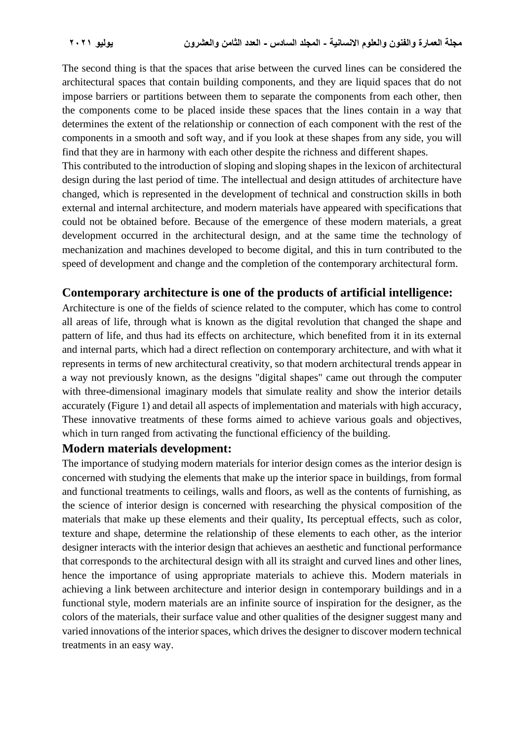The second thing is that the spaces that arise between the curved lines can be considered the architectural spaces that contain building components, and they are liquid spaces that do not impose barriers or partitions between them to separate the components from each other, then the components come to be placed inside these spaces that the lines contain in a way that determines the extent of the relationship or connection of each component with the rest of the components in a smooth and soft way, and if you look at these shapes from any side, you will find that they are in harmony with each other despite the richness and different shapes.

This contributed to the introduction of sloping and sloping shapes in the lexicon of architectural design during the last period of time. The intellectual and design attitudes of architecture have changed, which is represented in the development of technical and construction skills in both external and internal architecture, and modern materials have appeared with specifications that could not be obtained before. Because of the emergence of these modern materials, a great development occurred in the architectural design, and at the same time the technology of mechanization and machines developed to become digital, and this in turn contributed to the speed of development and change and the completion of the contemporary architectural form.

#### **Contemporary architecture is one of the products of artificial intelligence:**

Architecture is one of the fields of science related to the computer, which has come to control all areas of life, through what is known as the digital revolution that changed the shape and pattern of life, and thus had its effects on architecture, which benefited from it in its external and internal parts, which had a direct reflection on contemporary architecture, and with what it represents in terms of new architectural creativity, so that modern architectural trends appear in a way not previously known, as the designs "digital shapes" came out through the computer with three-dimensional imaginary models that simulate reality and show the interior details accurately (Figure 1) and detail all aspects of implementation and materials with high accuracy, These innovative treatments of these forms aimed to achieve various goals and objectives, which in turn ranged from activating the functional efficiency of the building.

#### **Modern materials development:**

The importance of studying modern materials for interior design comes as the interior design is concerned with studying the elements that make up the interior space in buildings, from formal and functional treatments to ceilings, walls and floors, as well as the contents of furnishing, as the science of interior design is concerned with researching the physical composition of the materials that make up these elements and their quality, Its perceptual effects, such as color, texture and shape, determine the relationship of these elements to each other, as the interior designer interacts with the interior design that achieves an aesthetic and functional performance that corresponds to the architectural design with all its straight and curved lines and other lines, hence the importance of using appropriate materials to achieve this. Modern materials in achieving a link between architecture and interior design in contemporary buildings and in a functional style, modern materials are an infinite source of inspiration for the designer, as the colors of the materials, their surface value and other qualities of the designer suggest many and varied innovations of the interior spaces, which drives the designer to discover modern technical treatments in an easy way.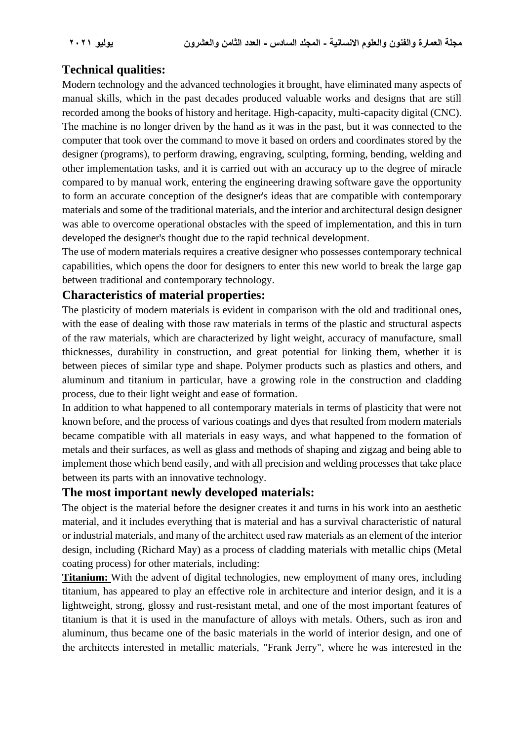# **Technical qualities:**

Modern technology and the advanced technologies it brought, have eliminated many aspects of manual skills, which in the past decades produced valuable works and designs that are still recorded among the books of history and heritage. High-capacity, multi-capacity digital (CNC). The machine is no longer driven by the hand as it was in the past, but it was connected to the computer that took over the command to move it based on orders and coordinates stored by the designer (programs), to perform drawing, engraving, sculpting, forming, bending, welding and other implementation tasks, and it is carried out with an accuracy up to the degree of miracle compared to by manual work, entering the engineering drawing software gave the opportunity to form an accurate conception of the designer's ideas that are compatible with contemporary materials and some of the traditional materials, and the interior and architectural design designer was able to overcome operational obstacles with the speed of implementation, and this in turn developed the designer's thought due to the rapid technical development.

The use of modern materials requires a creative designer who possesses contemporary technical capabilities, which opens the door for designers to enter this new world to break the large gap between traditional and contemporary technology.

### **Characteristics of material properties:**

The plasticity of modern materials is evident in comparison with the old and traditional ones, with the ease of dealing with those raw materials in terms of the plastic and structural aspects of the raw materials, which are characterized by light weight, accuracy of manufacture, small thicknesses, durability in construction, and great potential for linking them, whether it is between pieces of similar type and shape. Polymer products such as plastics and others, and aluminum and titanium in particular, have a growing role in the construction and cladding process, due to their light weight and ease of formation.

In addition to what happened to all contemporary materials in terms of plasticity that were not known before, and the process of various coatings and dyes that resulted from modern materials became compatible with all materials in easy ways, and what happened to the formation of metals and their surfaces, as well as glass and methods of shaping and zigzag and being able to implement those which bend easily, and with all precision and welding processes that take place between its parts with an innovative technology.

# **The most important newly developed materials:**

The object is the material before the designer creates it and turns in his work into an aesthetic material, and it includes everything that is material and has a survival characteristic of natural or industrial materials, and many of the architect used raw materials as an element of the interior design, including (Richard May) as a process of cladding materials with metallic chips (Metal coating process) for other materials, including:

**Titanium:** With the advent of digital technologies, new employment of many ores, including titanium, has appeared to play an effective role in architecture and interior design, and it is a lightweight, strong, glossy and rust-resistant metal, and one of the most important features of titanium is that it is used in the manufacture of alloys with metals. Others, such as iron and aluminum, thus became one of the basic materials in the world of interior design, and one of the architects interested in metallic materials, "Frank Jerry", where he was interested in the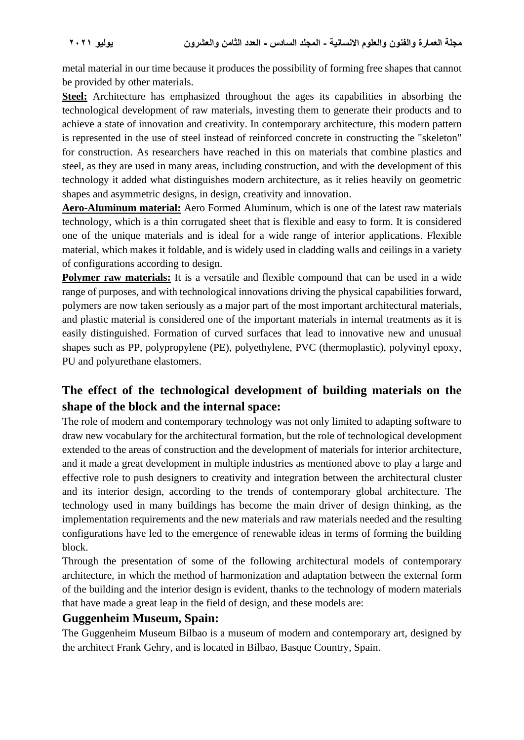metal material in our time because it produces the possibility of forming free shapes that cannot be provided by other materials.

**Steel:** Architecture has emphasized throughout the ages its capabilities in absorbing the technological development of raw materials, investing them to generate their products and to achieve a state of innovation and creativity. In contemporary architecture, this modern pattern is represented in the use of steel instead of reinforced concrete in constructing the "skeleton" for construction. As researchers have reached in this on materials that combine plastics and steel, as they are used in many areas, including construction, and with the development of this technology it added what distinguishes modern architecture, as it relies heavily on geometric shapes and asymmetric designs, in design, creativity and innovation.

**Aero-Aluminum material:** Aero Formed Aluminum, which is one of the latest raw materials technology, which is a thin corrugated sheet that is flexible and easy to form. It is considered one of the unique materials and is ideal for a wide range of interior applications. Flexible material, which makes it foldable, and is widely used in cladding walls and ceilings in a variety of configurations according to design.

**Polymer raw materials:** It is a versatile and flexible compound that can be used in a wide range of purposes, and with technological innovations driving the physical capabilities forward, polymers are now taken seriously as a major part of the most important architectural materials, and plastic material is considered one of the important materials in internal treatments as it is easily distinguished. Formation of curved surfaces that lead to innovative new and unusual shapes such as PP, polypropylene (PE), polyethylene, PVC (thermoplastic), polyvinyl epoxy, PU and polyurethane elastomers.

# **The effect of the technological development of building materials on the shape of the block and the internal space:**

The role of modern and contemporary technology was not only limited to adapting software to draw new vocabulary for the architectural formation, but the role of technological development extended to the areas of construction and the development of materials for interior architecture, and it made a great development in multiple industries as mentioned above to play a large and effective role to push designers to creativity and integration between the architectural cluster and its interior design, according to the trends of contemporary global architecture. The technology used in many buildings has become the main driver of design thinking, as the implementation requirements and the new materials and raw materials needed and the resulting configurations have led to the emergence of renewable ideas in terms of forming the building block.

Through the presentation of some of the following architectural models of contemporary architecture, in which the method of harmonization and adaptation between the external form of the building and the interior design is evident, thanks to the technology of modern materials that have made a great leap in the field of design, and these models are:

#### **Guggenheim Museum, Spain:**

The Guggenheim Museum Bilbao is a museum of modern and contemporary art, designed by the architect Frank Gehry, and is located in Bilbao, Basque Country, Spain.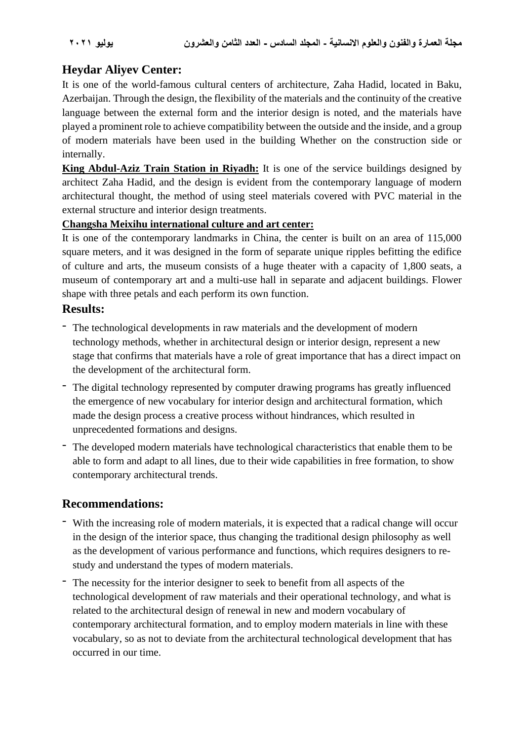# **Heydar Aliyev Center:**

It is one of the world-famous cultural centers of architecture, Zaha Hadid, located in Baku, Azerbaijan. Through the design, the flexibility of the materials and the continuity of the creative language between the external form and the interior design is noted, and the materials have played a prominent role to achieve compatibility between the outside and the inside, and a group of modern materials have been used in the building Whether on the construction side or internally.

**King Abdul-Aziz Train Station in Riyadh:** It is one of the service buildings designed by architect Zaha Hadid, and the design is evident from the contemporary language of modern architectural thought, the method of using steel materials covered with PVC material in the external structure and interior design treatments.

#### **Changsha Meixihu international culture and art center:**

It is one of the contemporary landmarks in China, the center is built on an area of 115,000 square meters, and it was designed in the form of separate unique ripples befitting the edifice of culture and arts, the museum consists of a huge theater with a capacity of 1,800 seats, a museum of contemporary art and a multi-use hall in separate and adjacent buildings. Flower shape with three petals and each perform its own function.

### **Results:**

- The technological developments in raw materials and the development of modern technology methods, whether in architectural design or interior design, represent a new stage that confirms that materials have a role of great importance that has a direct impact on the development of the architectural form.
- The digital technology represented by computer drawing programs has greatly influenced the emergence of new vocabulary for interior design and architectural formation, which made the design process a creative process without hindrances, which resulted in unprecedented formations and designs.
- The developed modern materials have technological characteristics that enable them to be able to form and adapt to all lines, due to their wide capabilities in free formation, to show contemporary architectural trends.

# **Recommendations:**

- With the increasing role of modern materials, it is expected that a radical change will occur in the design of the interior space, thus changing the traditional design philosophy as well as the development of various performance and functions, which requires designers to restudy and understand the types of modern materials.
- The necessity for the interior designer to seek to benefit from all aspects of the technological development of raw materials and their operational technology, and what is related to the architectural design of renewal in new and modern vocabulary of contemporary architectural formation, and to employ modern materials in line with these vocabulary, so as not to deviate from the architectural technological development that has occurred in our time.